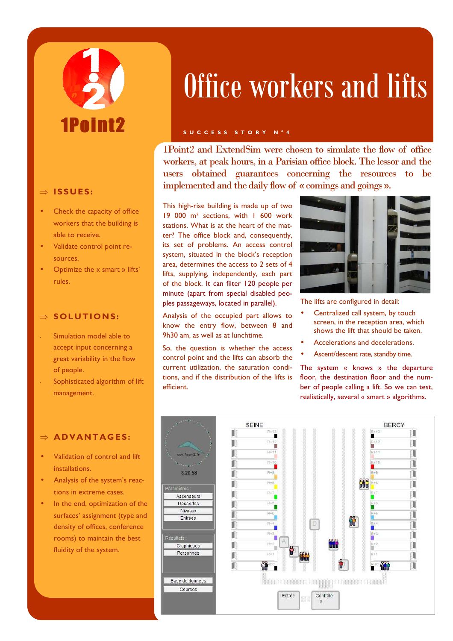# 1Pnint?

#### ⇒ **ISSUES :**

- Check the capacity of office workers that the building is able to receive.
- Validate control point resources.
- Optimize the « smart » lifts' rules.

#### ⇒ **SOLUTIONS:**

- Simulation model able to accept input concerning a great variability in the flow of people.
- Sophisticated algorithm of lift management.

#### $\Rightarrow$  **ADVANTAGES:**

- Validation of control and lift installations.
- Analysis of the system's reactions in extreme cases.
- In the end, optimization of the surfaces' assignment (type and density of offices, conference rooms) to maintain the best fluidity of the system.

## Office workers and lifts

#### **S U C C E S S S T O R Y N ° 4**

1Point2 and ExtendSim were chosen to simulate the flow of office workers, at peak hours, in a Parisian office block. The lessor and the users obtained guarantees concerning the resources to be implemented and the daily flow of « comings and goings ».

This high-rise building is made up of two 19 000 m² sections, with 1 600 work stations. What is at the heart of the matter? The office block and, consequently, its set of problems. An access control system, situated in the block's reception area, determines the access to 2 sets of 4 lifts, supplying, independently, each part of the block. It can filter 120 people per minute (apart from special disabled peoples passageways, located in parallel).

Analysis of the occupied part allows to know the entry flow, between 8 and 9h30 am, as well as at lunchtime.

So, the question is whether the access control point and the lifts can absorb the current utilization, the saturation conditions, and if the distribution of the lifts is efficient.



The lifts are configured in detail:

- Centralized call system, by touch screen, in the reception area, which shows the lift that should be taken.
- Accelerations and decelerations.
- Ascent/descent rate, standby time.

The system « knows » the departure floor, the destination floor and the number of people calling a lift. So we can test, realistically, several « smart » algorithms.